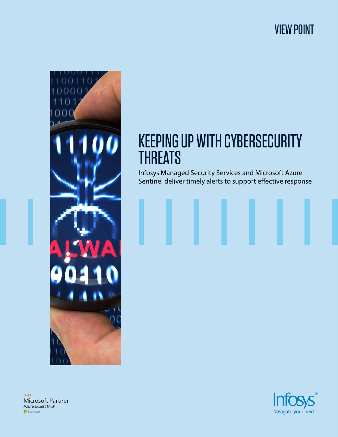## VIEW POINT



# KEEPING UP WITH CYBERSECURITY **THREATS**

Infosys Managed Security Services and Microsoft Azure Sentinel deliver timely alerts to support effective response

Gold Microsoft Partner Azure Expert MSP Microsoft

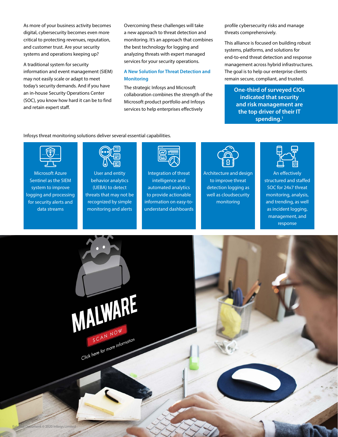As more of your business activity becomes digital, cybersecurity becomes even more critical to protecting revenues, reputation, and customer trust. Are your security systems and operations keeping up?

A traditional system for security information and event management (SIEM) may not easily scale or adapt to meet today's security demands. And if you have an in-house Security Operations Center (SOC), you know how hard it can be to find and retain expert staff.

Overcoming these challenges will take a new approach to threat detection and monitoring. It's an approach that combines the best technology for logging and analyzing threats with expert managed services for your security operations.

#### **A New Solution for Threat Detection and Monitoring**

The strategic Infosys and Microsoft collaboration combines the strength of the Microsoft product portfolio and Infosys services to help enterprises effectively

profile cybersecurity risks and manage threats comprehensively.

This alliance is focused on building robust systems, platforms, and solutions for end-to-end threat detection and response management across hybrid infrastructures. The goal is to help our enterprise clients remain secure, compliant, and trusted.

> **One-third of surveyed CIOs indicated that security and risk management are the top driver of their IT spending.1**

Infosys threat monitoring solutions deliver several essential capabilities.



Microsoft Azure Sentinel as the SIEM system to improve logging and processing for security alerts and data streams



User and entity behavior analytics (UEBA) to detect threats that may not be recognized by simple monitoring and alerts



Integration of threat intelligence and automated analytics to provide actionable information on easy-tounderstand dashboards



Architecture and design to improve threat detection logging as well as cloudsecurity monitoring



An effectively structured and staffed SOC for 24x7 threat monitoring, analysis, and trending, as well as incident logging, management, and response

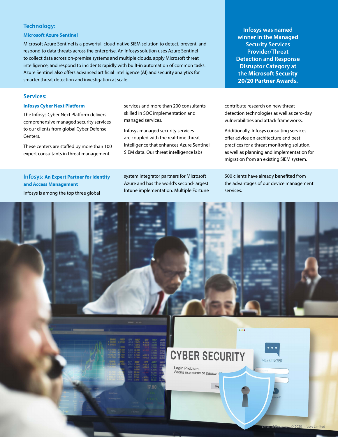#### **Technology:**

#### **Microsoft Azure Sentinel**

Microsoft Azure Sentinel is a powerful, cloud-native SIEM solution to detect, prevent, and respond to data threats across the enterprise. An Infosys solution uses Azure Sentinel to collect data across on-premise systems and multiple clouds, apply Microsoft threat intelligence, and respond to incidents rapidly with built-in automation of common tasks. Azure Sentinel also offers advanced artificial intelligence (AI) and security analytics for smarter threat detection and investigation at scale.

#### **Services:**

#### **Infosys Cyber Next Platform**

The Infosys Cyber Next Platform delivers comprehensive managed security services to our clients from global Cyber Defense Centers.

These centers are staffed by more than 100 expert consultants in threat management

**Infosys: An Expert Partner for Identity** 

**and Access Management**

services and more than 200 consultants skilled in SOC implementation and managed services.

Infosys managed security services are coupled with the real-time threat intelligence that enhances Azure Sentinel SIEM data. Our threat intelligence labs

system integrator partners for Microsoft Azure and has the world's second-largest Intune implementation. Multiple Fortune

**Infosys was named winner in the Managed Security Services Provider/Threat Detection and Response Disruptor Category at the Microsoft Security 20/20 Partner Awards.**

contribute research on new threatdetection technologies as well as zero-day vulnerabilities and attack frameworks.

Additionally, Infosys consulting services offer advice on architecture and best practices for a threat monitoring solution, as well as planning and implementation for migration from an existing SIEM system.

500 clients have already benefited from the advantages of our device management services.